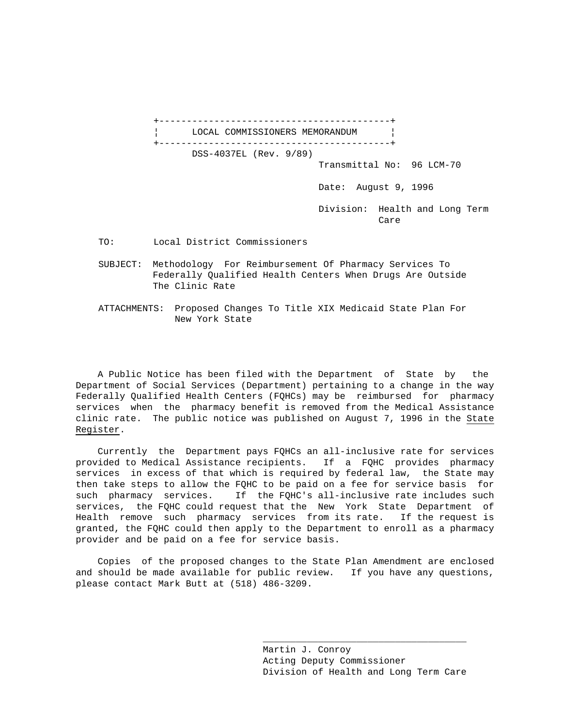+------------------------------------------+ LOCAL COMMISSIONERS MEMORANDUM +------------------------------------------+ DSS-4037EL (Rev. 9/89) Transmittal No: 96 LCM-70 Date: August 9, 1996 Division: Health and Long Term **Care** Care Care Care

TO: Local District Commissioners

 SUBJECT: Methodology For Reimbursement Of Pharmacy Services To Federally Qualified Health Centers When Drugs Are Outside The Clinic Rate

 ATTACHMENTS: Proposed Changes To Title XIX Medicaid State Plan For New York State

 A Public Notice has been filed with the Department of State by the Department of Social Services (Department) pertaining to a change in the way Federally Qualified Health Centers (FQHCs) may be reimbursed for pharmacy services when the pharmacy benefit is removed from the Medical Assistance clinic rate. The public notice was published on August 7, 1996 in the State Register.

 Currently the Department pays FQHCs an all-inclusive rate for services provided to Medical Assistance recipients. If a FQHC provides pharmacy services in excess of that which is required by federal law, the State may then take steps to allow the FQHC to be paid on a fee for service basis for such pharmacy services. If the FQHC's all-inclusive rate includes such services, the FQHC could request that the New York State Department of Health remove such pharmacy services from its rate. If the request is granted, the FQHC could then apply to the Department to enroll as a pharmacy provider and be paid on a fee for service basis.

 Copies of the proposed changes to the State Plan Amendment are enclosed and should be made available for public review. If you have any questions, please contact Mark Butt at (518) 486-3209.

 $\_$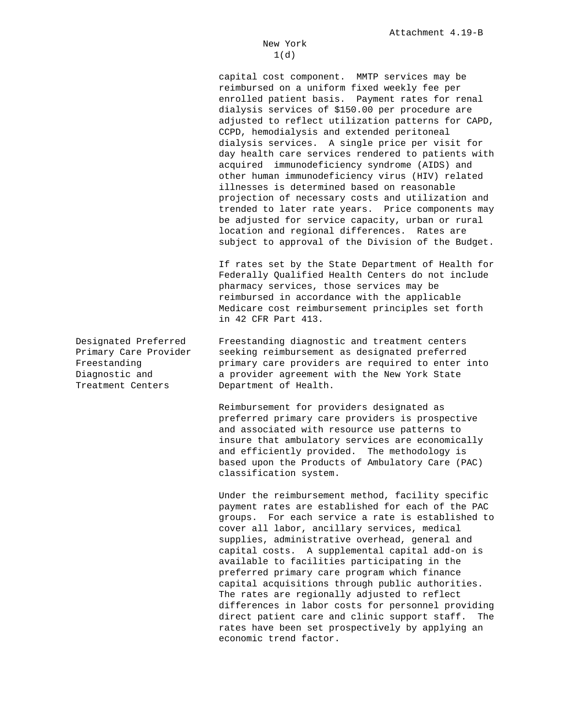capital cost component. MMTP services may be reimbursed on a uniform fixed weekly fee per enrolled patient basis. Payment rates for renal dialysis services of \$150.00 per procedure are adjusted to reflect utilization patterns for CAPD, CCPD, hemodialysis and extended peritoneal dialysis services. A single price per visit for day health care services rendered to patients with acquired immunodeficiency syndrome (AIDS) and other human immunodeficiency virus (HIV) related illnesses is determined based on reasonable projection of necessary costs and utilization and trended to later rate years. Price components may be adjusted for service capacity, urban or rural location and regional differences. Rates are subject to approval of the Division of the Budget.

 If rates set by the State Department of Health for Federally Qualified Health Centers do not include pharmacy services, those services may be reimbursed in accordance with the applicable Medicare cost reimbursement principles set forth in 42 CFR Part 413.

Treatment Centers Department of Health.

Designated Preferred Freestanding diagnostic and treatment centers Primary Care Provider seeking reimbursement as designated preferred Freestanding **primary care providers are required to enter into** Diagnostic and a provider agreement with the New York State

> Reimbursement for providers designated as preferred primary care providers is prospective and associated with resource use patterns to insure that ambulatory services are economically and efficiently provided. The methodology is based upon the Products of Ambulatory Care (PAC) classification system.

 Under the reimbursement method, facility specific payment rates are established for each of the PAC groups. For each service a rate is established to cover all labor, ancillary services, medical supplies, administrative overhead, general and capital costs. A supplemental capital add-on is available to facilities participating in the preferred primary care program which finance capital acquisitions through public authorities. The rates are regionally adjusted to reflect differences in labor costs for personnel providing direct patient care and clinic support staff. The rates have been set prospectively by applying an economic trend factor.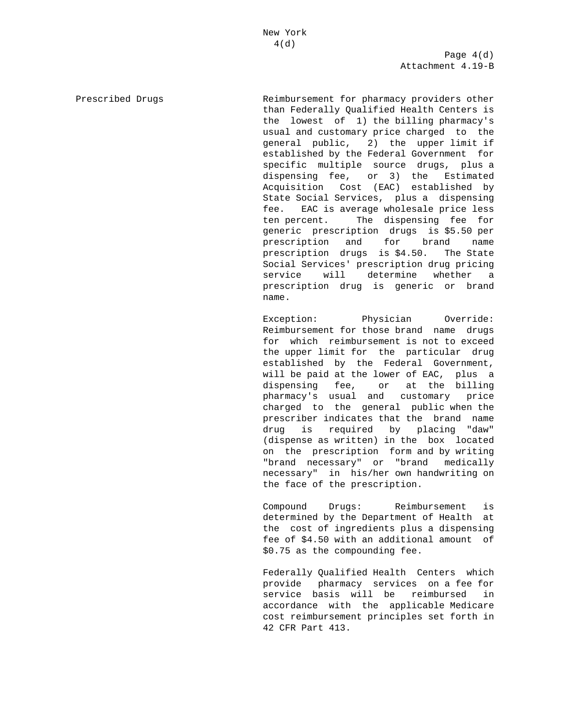Page  $4(d)$ Attachment 4.19-B

Prescribed Drugs The Reimbursement for pharmacy providers other than Federally Qualified Health Centers is the lowest of 1) the billing pharmacy's usual and customary price charged to the general public, 2) the upper limit if established by the Federal Government for specific multiple source drugs, plus a dispensing fee, or 3) the Estimated Acquisition Cost (EAC) established by State Social Services, plus a dispensing fee. EAC is average wholesale price less ten percent. The dispensing fee for generic prescription drugs is \$5.50 per prescription and for brand name prescription drugs is \$4.50. The State Social Services' prescription drug pricing service will determine whether a prescription drug is generic or brand name.

> Exception: Physician Override: Reimbursement for those brand name drugs for which reimbursement is not to exceed the upper limit for the particular drug established by the Federal Government, will be paid at the lower of EAC, plus a dispensing fee, or at the billing pharmacy's usual and customary price charged to the general public when the prescriber indicates that the brand name drug is required by placing "daw" (dispense as written) in the box located on the prescription form and by writing "brand necessary" or "brand medically necessary" in his/her own handwriting on the face of the prescription.

> Compound Drugs: Reimbursement is determined by the Department of Health at the cost of ingredients plus a dispensing fee of \$4.50 with an additional amount of \$0.75 as the compounding fee.

> Federally Qualified Health Centers which provide pharmacy services on a fee for service basis will be reimbursed in accordance with the applicable Medicare cost reimbursement principles set forth in 42 CFR Part 413.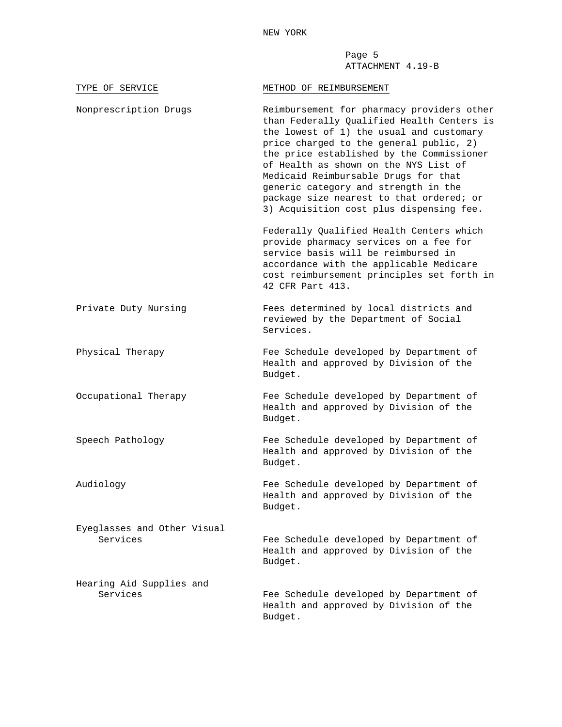Page 5 ATTACHMENT 4.19-B

| TYPE OF SERVICE                         | METHOD OF REIMBURSEMENT                                                                                                                                                                                                                                                                                                                                                                                                                       |
|-----------------------------------------|-----------------------------------------------------------------------------------------------------------------------------------------------------------------------------------------------------------------------------------------------------------------------------------------------------------------------------------------------------------------------------------------------------------------------------------------------|
| Nonprescription Drugs                   | Reimbursement for pharmacy providers other<br>than Federally Qualified Health Centers is<br>the lowest of 1) the usual and customary<br>price charged to the general public, 2)<br>the price established by the Commissioner<br>of Health as shown on the NYS List of<br>Medicaid Reimbursable Drugs for that<br>generic category and strength in the<br>package size nearest to that ordered; or<br>3) Acquisition cost plus dispensing fee. |
|                                         | Federally Qualified Health Centers which<br>provide pharmacy services on a fee for<br>service basis will be reimbursed in<br>accordance with the applicable Medicare<br>cost reimbursement principles set forth in<br>42 CFR Part 413.                                                                                                                                                                                                        |
| Private Duty Nursing                    | Fees determined by local districts and<br>reviewed by the Department of Social<br>Services.                                                                                                                                                                                                                                                                                                                                                   |
| Physical Therapy                        | Fee Schedule developed by Department of<br>Health and approved by Division of the<br>Budget.                                                                                                                                                                                                                                                                                                                                                  |
| Occupational Therapy                    | Fee Schedule developed by Department of<br>Health and approved by Division of the<br>Budget.                                                                                                                                                                                                                                                                                                                                                  |
| Speech Pathology                        | Fee Schedule developed by Department of<br>Health and approved by Division of the<br>Budget.                                                                                                                                                                                                                                                                                                                                                  |
| Audiology                               | Fee Schedule developed by Department of<br>Health and approved by Division of the<br>Budget.                                                                                                                                                                                                                                                                                                                                                  |
| Eyeglasses and Other Visual<br>Services | Fee Schedule developed by Department of<br>Health and approved by Division of the<br>Budget.                                                                                                                                                                                                                                                                                                                                                  |
| Hearing Aid Supplies and<br>Services    | Fee Schedule developed by Department of<br>Health and approved by Division of the<br>Budget.                                                                                                                                                                                                                                                                                                                                                  |